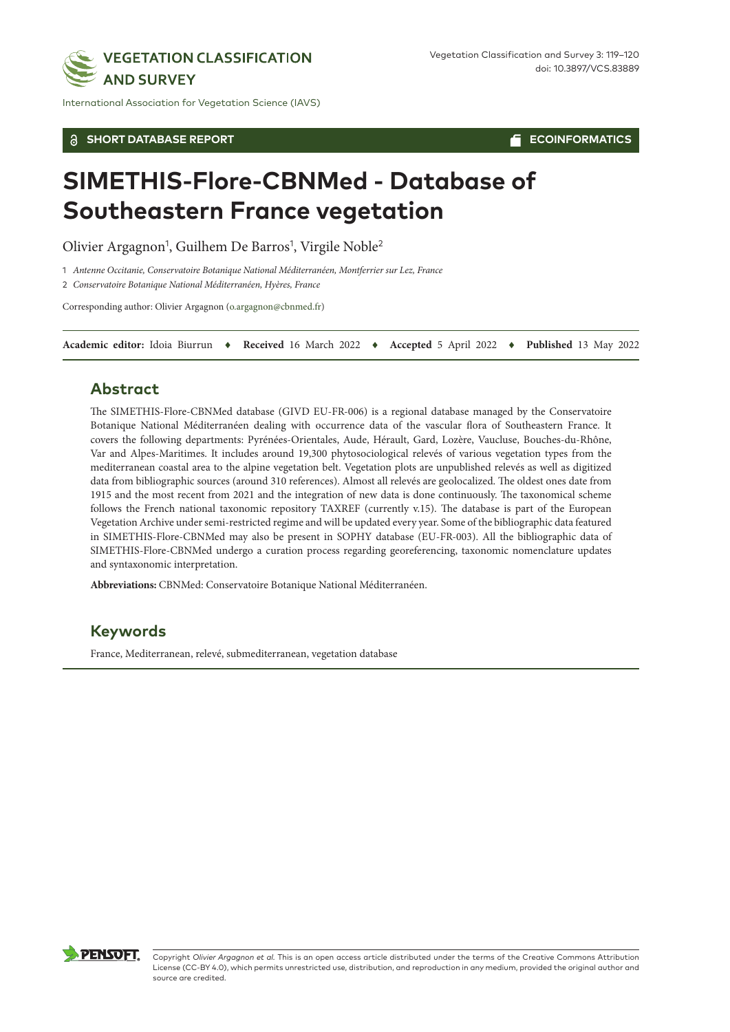

International Association for Vegetation Science (IAVS)

#### **SHORT DATABASE REPORT**

**ECOINFORMATICS**

# **SIMETHIS-Flore-CBNMed - Database of Southeastern France vegetation**

Olivier Argagnon<sup>1</sup>, Guilhem De Barros<sup>1</sup>, Virgile Noble<sup>2</sup>

1 *Antenne Occitanie, Conservatoire Botanique National Méditerranéen, Montferrier sur Lez, France*

2 *Conservatoire Botanique National Méditerranéen, Hyères, France*

Corresponding author: Olivier Argagnon [\(o.argagnon@cbnmed.fr](mailto:o.argagnon@cbnmed.fr))

**Academic editor:** Idoia Biurrun ♦ **Received** 16 March 2022 ♦ **Accepted** 5 April 2022 ♦ **Published** 13 May 2022

### **Abstract**

The SIMETHIS-Flore-CBNMed database (GIVD EU-FR-006) is a regional database managed by the Conservatoire Botanique National Méditerranéen dealing with occurrence data of the vascular flora of Southeastern France. It covers the following departments: Pyrénées-Orientales, Aude, Hérault, Gard, Lozère, Vaucluse, Bouches-du-Rhône, Var and Alpes-Maritimes. It includes around 19,300 phytosociological relevés of various vegetation types from the mediterranean coastal area to the alpine vegetation belt. Vegetation plots are unpublished relevés as well as digitized data from bibliographic sources (around 310 references). Almost all relevés are geolocalized. The oldest ones date from 1915 and the most recent from 2021 and the integration of new data is done continuously. The taxonomical scheme follows the French national taxonomic repository TAXREF (currently v.15). The database is part of the European Vegetation Archive under semi-restricted regime and will be updated every year. Some of the bibliographic data featured in SIMETHIS-Flore-CBNMed may also be present in SOPHY database (EU-FR-003). All the bibliographic data of SIMETHIS-Flore-CBNMed undergo a curation process regarding georeferencing, taxonomic nomenclature updates and syntaxonomic interpretation.

**Abbreviations:** CBNMed: Conservatoire Botanique National Méditerranéen.

## **Keywords**

France, Mediterranean, relevé, submediterranean, vegetation database



Copyright *Olivier Argagnon et al.* This is an open access article distributed under the terms of the Creative Commons Attribution License (CC-BY 4.0), which permits unrestricted use, distribution, and reproduction in any medium, provided the original author and source are credited.